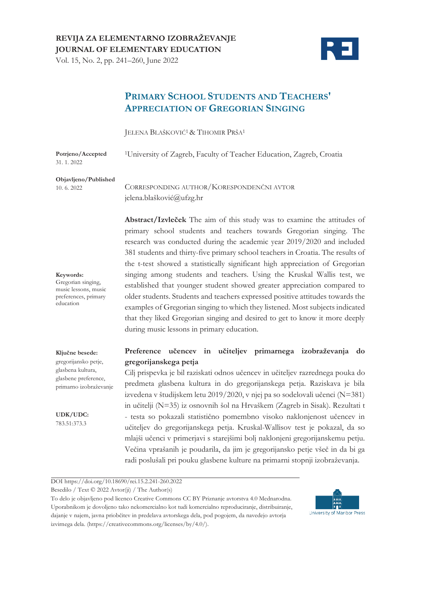Vol. 15, No. 2, pp. 241–260, June 2022



# **PRIMARY SCHOOL STUDENTS AND TEACHERS' APPRECIATION OF GREGORIAN SINGING**

JELENA BLAŠKOVIĆ1& TIHOMIR PRŠA<sup>1</sup>

| Potrjeno/Accepted<br>31, 1, 2022 | <sup>1</sup> University of Zagreb, Faculty of Teacher Education, Zagreb, Croatia |
|----------------------------------|----------------------------------------------------------------------------------|
| Objavljeno/Published             | CORRESPONDING AUTHOR/KORESPONDENČNI AVTOR                                        |
| 10.6.2022                        | jelena.blašković@ufzg.hr                                                         |

**Abstract/Izvleček** The aim of this study was to examine the attitudes of primary school students and teachers towards Gregorian singing. The research was conducted during the academic year 2019/2020 and included 381 students and thirty-five primary school teachers in Croatia. The results of the t-test showed a statistically significant high appreciation of Gregorian singing among students and teachers. Using the Kruskal Wallis test, we established that younger student showed greater appreciation compared to older students. Students and teachers expressed positive attitudes towards the examples of Gregorian singing to which they listened. Most subjects indicated that they liked Gregorian singing and desired to get to know it more deeply during music lessons in primary education.

# **Preference učencev in učiteljev primarnega izobraževanja do gregorijanskega petja**

Cilj prispevka je bil raziskati odnos učencev in učiteljev razrednega pouka do predmeta glasbena kultura in do gregorijanskega petja. Raziskava je bila izvedena v študijskem letu 2019/2020, v njej pa so sodelovali učenci (N=381) in učitelji (N=35) iz osnovnih šol na Hrvaškem (Zagreb in Sisak). Rezultati t - testa so pokazali statistično pomembno visoko naklonjenost učencev in učiteljev do gregorijanskega petja. Kruskal-Wallisov test je pokazal, da so mlajši učenci v primerjavi s starejšimi bolj naklonjeni gregorijanskemu petju. Večina vprašanih je poudarila, da jim je gregorijansko petje všeč in da bi ga radi poslušali pri pouku glasbene kulture na primarni stopnji izobraževanja.

DOI https://doi.org/10.18690/rei.15.2.241-260.2022

Besedilo / Text © 2022 Avtor(ji) / The Author(s)

To delo je objavljeno pod licenco Creative Commons CC BY Priznanje avtorstva 4.0 Mednarodna. Uporabnikom je dovoljeno tako nekomercialno kot tudi komercialno reproduciranje, distribuiranje, dajanje v najem, javna priobčitev in predelava avtorskega dela, pod pogojem, da navedejo avtorja izvirnega dela. (https://creativecommons.org/licenses/by/4.0/).



**Keywords:**  Gregorian singing,

music lessons, music preferences, primary education

#### **Ključne besede:**

gregorijansko petje, glasbena kultura, glasbene preference, primarno izobraževanje

**UDK/UDC:**  783.51:373.3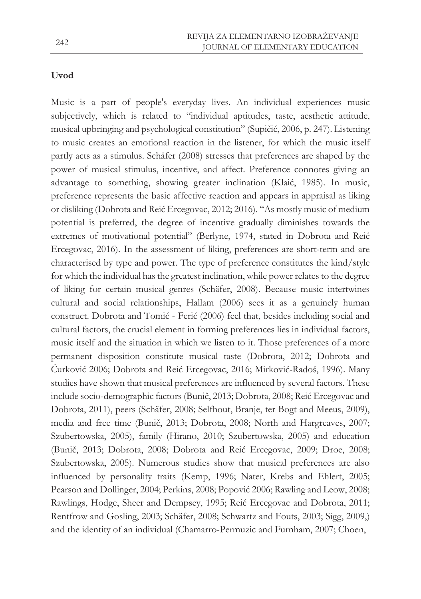# **Uvod**

Music is a part of people's everyday lives. An individual experiences music subjectively, which is related to "individual aptitudes, taste, aesthetic attitude, musical upbringing and psychological constitution" (Supičić, 2006, p. 247). Listening to music creates an emotional reaction in the listener, for which the music itself partly acts as a stimulus. Schäfer (2008) stresses that preferences are shaped by the power of musical stimulus, incentive, and affect. Preference connotes giving an advantage to something, showing greater inclination (Klaić, 1985). In music, preference represents the basic affective reaction and appears in appraisal as liking or disliking (Dobrota and Reić Ercegovac, 2012; 2016). "As mostly music of medium potential is preferred, the degree of incentive gradually diminishes towards the extremes of motivational potential" (Berlyne, 1974, stated in Dobrota and Reić Ercegovac, 2016). In the assessment of liking, preferences are short-term and are characterised by type and power. The type of preference constitutes the kind/style for which the individual has the greatest inclination, while power relates to the degree of liking for certain musical genres (Schäfer, 2008). Because music intertwines cultural and social relationships, Hallam (2006) sees it as a genuinely human construct. Dobrota and Tomić - Ferić (2006) feel that, besides including social and cultural factors, the crucial element in forming preferences lies in individual factors, music itself and the situation in which we listen to it. Those preferences of a more permanent disposition constitute musical taste (Dobrota, 2012; Dobrota and Ćurković 2006; Dobrota and Reić Ercegovac, 2016; Mirković-Radoš, 1996). Many studies have shown that musical preferences are influenced by several factors. These include socio-demographic factors (Bunič, 2013; Dobrota, 2008; Reić Ercegovac and Dobrota, 2011), peers (Schäfer, 2008; Selfhout, Branje, ter Bogt and Meeus, 2009), media and free time (Bunič, 2013; Dobrota, 2008; North and Hargreaves, 2007; Szubertowska, 2005), family (Hirano, 2010; Szubertowska, 2005) and education (Bunič, 2013; Dobrota, 2008; Dobrota and Reić Ercegovac, 2009; Droe, 2008; Szubertowska, 2005). Numerous studies show that musical preferences are also influenced by personality traits (Kemp, 1996; Nater, Krebs and Ehlert, 2005; Pearson and Dollinger, 2004; Perkins, 2008; Popović 2006; Rawling and Leow, 2008; Rawlings, Hodge, Sheer and Dempsey, 1995; Reić Ercegovac and Dobrota, 2011; Rentfrow and Gosling, 2003; Schäfer, 2008; Schwartz and Fouts, 2003; Sigg, 2009,) and the identity of an individual (Chamarro-Permuzic and Furnham, 2007; Choen,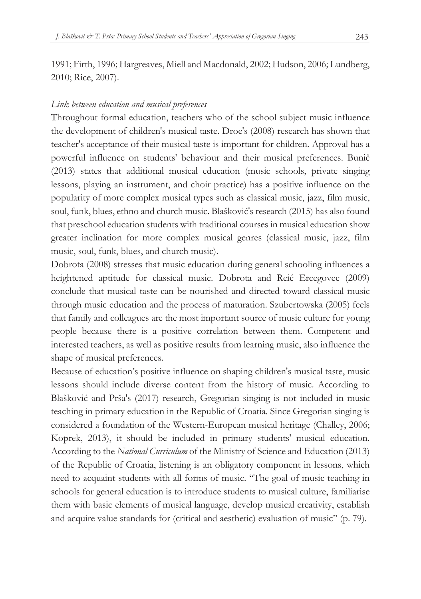1991; Firth, 1996; Hargreaves, Miell and Macdonald, 2002; Hudson, 2006; Lundberg, 2010; Rice, 2007).

## *Link between education and musical preferences*

Throughout formal education, teachers who of the school subject music influence the development of children's musical taste. Droe's (2008) research has shown that teacher's acceptance of their musical taste is important for children. Approval has a powerful influence on students' behaviour and their musical preferences. Bunič (2013) states that additional musical education (music schools, private singing lessons, playing an instrument, and choir practice) has a positive influence on the popularity of more complex musical types such as classical music, jazz, film music, soul, funk, blues, ethno and church music. Blašković's research (2015) has also found that preschool education students with traditional courses in musical education show greater inclination for more complex musical genres (classical music, jazz, film music, soul, funk, blues, and church music).

Dobrota (2008) stresses that music education during general schooling influences a heightened aptitude for classical music. Dobrota and Reić Ercegovec (2009) conclude that musical taste can be nourished and directed toward classical music through music education and the process of maturation. Szubertowska (2005) feels that family and colleagues are the most important source of music culture for young people because there is a positive correlation between them. Competent and interested teachers, as well as positive results from learning music, also influence the shape of musical preferences.

Because of education's positive influence on shaping children's musical taste, music lessons should include diverse content from the history of music. According to Blašković and Prša's (2017) research, Gregorian singing is not included in music teaching in primary education in the Republic of Croatia. Since Gregorian singing is considered a foundation of the Western-European musical heritage (Challey, 2006; Koprek, 2013), it should be included in primary students' musical education. According to the *National Curriculum* of the Ministry of Science and Education (2013) of the Republic of Croatia, listening is an obligatory component in lessons, which need to acquaint students with all forms of music. "The goal of music teaching in schools for general education is to introduce students to musical culture, familiarise them with basic elements of musical language, develop musical creativity, establish and acquire value standards for (critical and aesthetic) evaluation of music" (p. 79).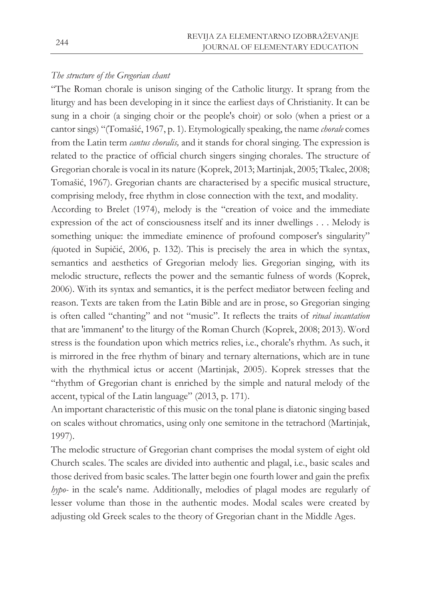## *The structure of the Gregorian chant*

"The Roman chorale is unison singing of the Catholic liturgy. It sprang from the liturgy and has been developing in it since the earliest days of Christianity. It can be sung in a choir (a singing choir or the people's choir) or solo (when a priest or a cantor sings) "(Tomašić, 1967, p. 1). Etymologically speaking, the name *chorale* comes from the Latin term *cantus choralis,* and it stands for choral singing. The expression is related to the practice of official church singers singing chorales. The structure of Gregorian chorale is vocal in its nature (Koprek, 2013; Martinjak, 2005; Tkalec, 2008; Tomašić, 1967). Gregorian chants are characterised by a specific musical structure, comprising melody, free rhythm in close connection with the text, and modality.

According to Brelet (1974), melody is the "creation of voice and the immediate expression of the act of consciousness itself and its inner dwellings . . . Melody is something unique: the immediate eminence of profound composer's singularity" *(*quoted in Supičić, 2006, p. 132). This is precisely the area in which the syntax, semantics and aesthetics of Gregorian melody lies. Gregorian singing, with its melodic structure, reflects the power and the semantic fulness of words (Koprek, 2006). With its syntax and semantics, it is the perfect mediator between feeling and reason. Texts are taken from the Latin Bible and are in prose, so Gregorian singing is often called "chanting" and not "music". It reflects the traits of *ritual incantation*  that are 'immanent' to the liturgy of the Roman Church (Koprek, 2008; 2013). Word stress is the foundation upon which metrics relies, i.e., chorale's rhythm. As such, it is mirrored in the free rhythm of binary and ternary alternations, which are in tune with the rhythmical ictus or accent (Martinjak, 2005). Koprek stresses that the "rhythm of Gregorian chant is enriched by the simple and natural melody of the accent, typical of the Latin language" (2013, p. 171).

An important characteristic of this music on the tonal plane is diatonic singing based on scales without chromatics, using only one semitone in the tetrachord (Martinjak, 1997).

The melodic structure of Gregorian chant comprises the modal system of eight old Church scales. The scales are divided into authentic and plagal, i.e., basic scales and those derived from basic scales. The latter begin one fourth lower and gain the prefix *hypo-* in the scale's name. Additionally, melodies of plagal modes are regularly of lesser volume than those in the authentic modes. Modal scales were created by adjusting old Greek scales to the theory of Gregorian chant in the Middle Ages.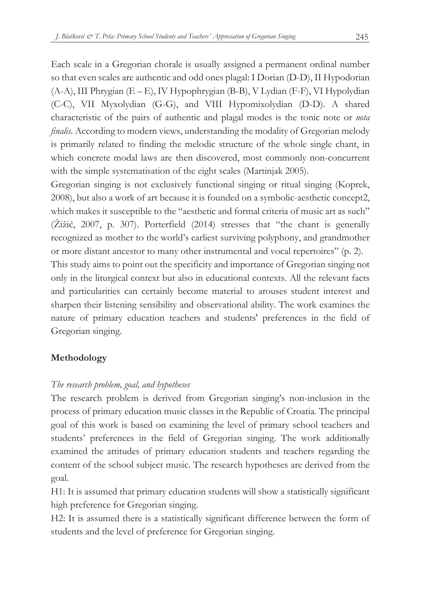Each scale in a Gregorian chorale is usually assigned a permanent ordinal number so that even scales are authentic and odd ones plagal: I Dorian (D-D), II Hypodorian (A-A), III Phrygian (E – E), IV Hypophrygian (B-B), V Lydian (F-F), VI Hypolydian (C-C), VII Myxolydian (G-G), and VIII Hypomixolydian (D-D). A shared characteristic of the pairs of authentic and plagal modes is the tonic note or *nota finalis.* According to modern views, understanding the modality of Gregorian melody is primarily related to finding the melodic structure of the whole single chant, in which concrete modal laws are then discovered, most commonly non-concurrent with the simple systematisation of the eight scales (Martinjak 2005).

Gregorian singing is not exclusively functional singing or ritual singing (Koprek, 2008), but also a work of art because it is founded on a symbolic-aesthetic concept2, which makes it susceptible to the "aesthetic and formal criteria of music art as such" (Žižić, 2007, p. 307). Porterfield (2014) stresses that "the chant is generally recognized as mother to the world's earliest surviving polyphony, and grandmother or more distant ancestor to many other instrumental and vocal repertoires" (p. 2).

This study aims to point out the specificity and importance of Gregorian singing not only in the liturgical context but also in educational contexts. All the relevant facts and particularities can certainly become material to arouses student interest and sharpen their listening sensibility and observational ability. The work examines the nature of primary education teachers and students' preferences in the field of Gregorian singing.

# **Methodology**

# *The research problem, goal, and hypotheses*

The research problem is derived from Gregorian singing's non-inclusion in the process of primary education music classes in the Republic of Croatia. The principal goal of this work is based on examining the level of primary school teachers and students' preferences in the field of Gregorian singing. The work additionally examined the attitudes of primary education students and teachers regarding the content of the school subject music. The research hypotheses are derived from the goal.

H1: It is assumed that primary education students will show a statistically significant high preference for Gregorian singing.

H2: It is assumed there is a statistically significant difference between the form of students and the level of preference for Gregorian singing.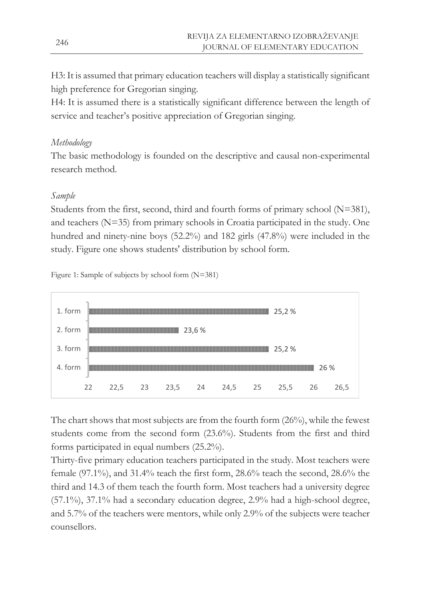H3: It is assumed that primary education teachers will display a statistically significant high preference for Gregorian singing.

H4: It is assumed there is a statistically significant difference between the length of service and teacher's positive appreciation of Gregorian singing.

# *Methodology*

The basic methodology is founded on the descriptive and causal non-experimental research method.

# *Sample*

Students from the first, second, third and fourth forms of primary school (N=381), and teachers (N=35) from primary schools in Croatia participated in the study. One hundred and ninety-nine boys (52.2%) and 182 girls (47.8%) were included in the study. Figure one shows students' distribution by school form.

Figure 1: Sample of subjects by school form (N=381)

| 1. form |    |      |    |      |       |      |    | 25,2% |      |      |
|---------|----|------|----|------|-------|------|----|-------|------|------|
| 2. form |    |      |    |      | 23,6% |      |    |       |      |      |
| 3. form |    |      |    |      |       |      |    | 25,2% |      |      |
| 4. form |    |      |    |      |       |      |    |       | 26 % |      |
|         | 22 | 22,5 | 23 | 23,5 | 24    | 24,5 | 25 | 25,5  | 26   | 26,5 |

The chart shows that most subjects are from the fourth form (26%), while the fewest students come from the second form (23.6%). Students from the first and third forms participated in equal numbers (25.2%).

Thirty-five primary education teachers participated in the study. Most teachers were female (97.1%), and 31.4% teach the first form, 28.6% teach the second, 28.6% the third and 14.3 of them teach the fourth form. Most teachers had a university degree (57.1%), 37.1% had a secondary education degree, 2.9% had a high-school degree, and 5.7% of the teachers were mentors, while only 2.9% of the subjects were teacher counsellors.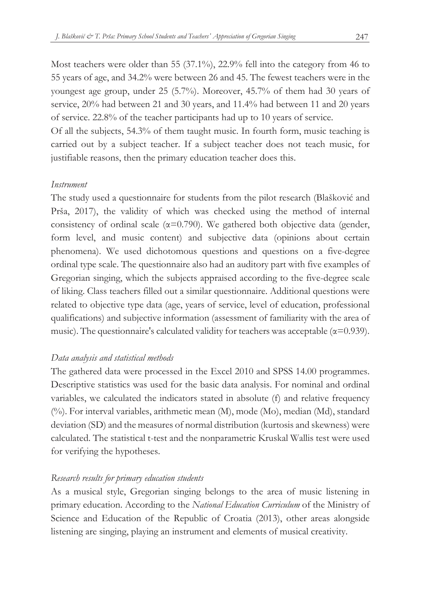Most teachers were older than 55  $(37.1\%)$ , 22.9% fell into the category from 46 to 55 years of age, and 34.2% were between 26 and 45. The fewest teachers were in the youngest age group, under 25 (5.7%). Moreover, 45.7% of them had 30 years of service, 20% had between 21 and 30 years, and 11.4% had between 11 and 20 years of service. 22.8% of the teacher participants had up to 10 years of service.

Of all the subjects, 54.3% of them taught music. In fourth form, music teaching is carried out by a subject teacher. If a subject teacher does not teach music, for justifiable reasons, then the primary education teacher does this.

### *Instrument*

The study used a questionnaire for students from the pilot research (Blašković and Prša, 2017), the validity of which was checked using the method of internal consistency of ordinal scale ( $\alpha$ =0.790). We gathered both objective data (gender, form level, and music content) and subjective data (opinions about certain phenomena). We used dichotomous questions and questions on a five-degree ordinal type scale. The questionnaire also had an auditory part with five examples of Gregorian singing, which the subjects appraised according to the five-degree scale of liking. Class teachers filled out a similar questionnaire. Additional questions were related to objective type data (age, years of service, level of education, professional qualifications) and subjective information (assessment of familiarity with the area of music). The questionnaire's calculated validity for teachers was acceptable ( $\alpha$ =0.939).

### *Data analysis and statistical methods*

The gathered data were processed in the Excel 2010 and SPSS 14.00 programmes. Descriptive statistics was used for the basic data analysis. For nominal and ordinal variables, we calculated the indicators stated in absolute (f) and relative frequency (%). For interval variables, arithmetic mean (M), mode (Mo), median (Md), standard deviation (SD) and the measures of normal distribution (kurtosis and skewness) were calculated. The statistical t-test and the nonparametric Kruskal Wallis test were used for verifying the hypotheses.

### *Research results for primary education students*

As a musical style, Gregorian singing belongs to the area of music listening in primary education. According to the *National Education Curriculum* of the Ministry of Science and Education of the Republic of Croatia (2013), other areas alongside listening are singing, playing an instrument and elements of musical creativity.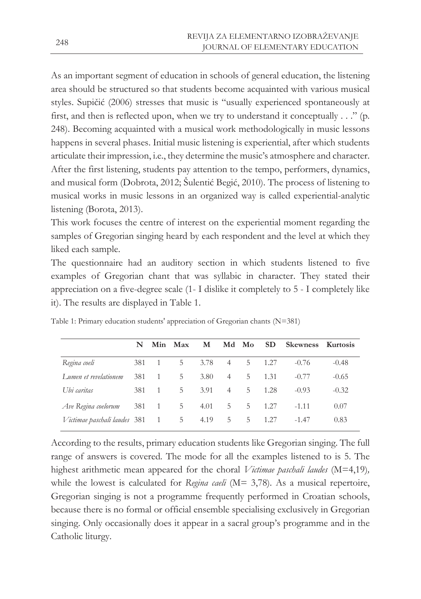As an important segment of education in schools of general education, the listening area should be structured so that students become acquainted with various musical styles. Supičić (2006) stresses that music is "usually experienced spontaneously at first, and then is reflected upon, when we try to understand it conceptually . . ." (p. 248). Becoming acquainted with a musical work methodologically in music lessons happens in several phases. Initial music listening is experiential, after which students articulate their impression, i.e., they determine the music's atmosphere and character. After the first listening, students pay attention to the tempo, performers, dynamics, and musical form (Dobrota, 2012; Šulentić Begić, 2010). The process of listening to musical works in music lessons in an organized way is called experiential-analytic listening (Borota, 2013).

This work focuses the centre of interest on the experiential moment regarding the samples of Gregorian singing heard by each respondent and the level at which they liked each sample.

The questionnaire had an auditory section in which students listened to five examples of Gregorian chant that was syllabic in character. They stated their appreciation on a five-degree scale (1- I dislike it completely to 5 - I completely like it). The results are displayed in Table 1.

|                              | N   |                | Min Max | м    |                | Md Mo | <b>SD</b> | Skewness Kurtosis |         |
|------------------------------|-----|----------------|---------|------|----------------|-------|-----------|-------------------|---------|
| Regina coeli                 | 381 | $\overline{1}$ | 5       | 3.78 | $\overline{4}$ | 5     | 1.27      | $-0.76$           | $-0.48$ |
| Lumen et revelationem        | 381 | $\overline{1}$ | 5       | 3.80 | $\overline{4}$ | 5.    | 1.31      | $-0.77$           | $-0.65$ |
| Ubi caritas                  | 381 | $\overline{1}$ | 5       | 3.91 | $\overline{4}$ | 5.    | 1.28      | $-0.93$           | $-0.32$ |
| Ave Regina coelorum          | 381 | - 1            | 5       | 4.01 | 5              | 5     | 1.27      | $-1.11$           | 0.07    |
| Victimae paschali laudes 381 |     | 1              | 5       | 4.19 | 5              | 5     | 1.27      | $-1.47$           | 0.83    |

Table 1: Primary education students' appreciation of Gregorian chants (N=381)

According to the results, primary education students like Gregorian singing. The full range of answers is covered. The mode for all the examples listened to is 5. The highest arithmetic mean appeared for the choral *Victimae paschali laudes* (M=4,19)*,* while the lowest is calculated for *Regina caeli* (M= 3,78). As a musical repertoire, Gregorian singing is not a programme frequently performed in Croatian schools, because there is no formal or official ensemble specialising exclusively in Gregorian singing. Only occasionally does it appear in a sacral group's programme and in the Catholic liturgy.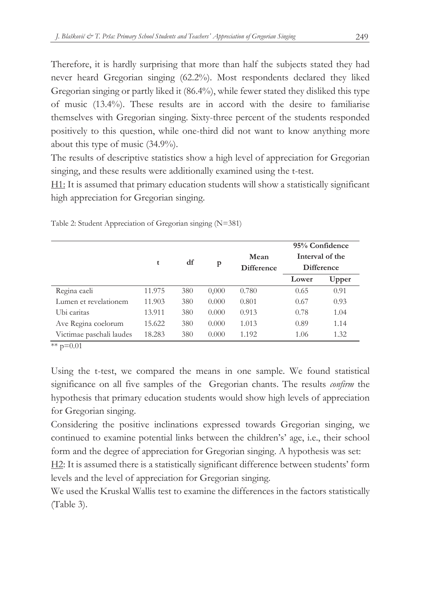Therefore, it is hardly surprising that more than half the subjects stated they had never heard Gregorian singing (62.2%). Most respondents declared they liked Gregorian singing or partly liked it (86.4%), while fewer stated they disliked this type of music (13.4%). These results are in accord with the desire to familiarise themselves with Gregorian singing. Sixty-three percent of the students responded positively to this question, while one-third did not want to know anything more about this type of music (34.9%).

The results of descriptive statistics show a high level of appreciation for Gregorian singing, and these results were additionally examined using the t-test.

H1: It is assumed that primary education students will show a statistically significant high appreciation for Gregorian singing.

|                          | t      | df  | p     | Mean<br><b>Difference</b> |       | 95% Confidence<br>Interval of the<br><b>Difference</b> |
|--------------------------|--------|-----|-------|---------------------------|-------|--------------------------------------------------------|
|                          |        |     |       |                           | Lower | Upper                                                  |
| Regina caeli             | 11.975 | 380 | 0,000 | 0.780                     | 0.65  | 0.91                                                   |
| Lumen et revelationem    | 11.903 | 380 | 0.000 | 0.801                     | 0.67  | 0.93                                                   |
| Ubi caritas              | 13.911 | 380 | 0.000 | 0.913                     | 0.78  | 1.04                                                   |
| Ave Regina coelorum      | 15.622 | 380 | 0.000 | 1.013                     | 0.89  | 1.14                                                   |
| Victimae paschali laudes | 18.283 | 380 | 0.000 | 1.192                     | 1.06  | 1.32                                                   |

Table 2: Student Appreciation of Gregorian singing (N=381)

\*\*  $p=0.01$ 

Using the t-test, we compared the means in one sample. We found statistical significance on all five samples of the Gregorian chants. The results *confirm* the hypothesis that primary education students would show high levels of appreciation for Gregorian singing.

Considering the positive inclinations expressed towards Gregorian singing, we continued to examine potential links between the children's' age, i.e., their school form and the degree of appreciation for Gregorian singing. A hypothesis was set:

H2: It is assumed there is a statistically significant difference between students' form levels and the level of appreciation for Gregorian singing.

We used the Kruskal Wallis test to examine the differences in the factors statistically (Table 3).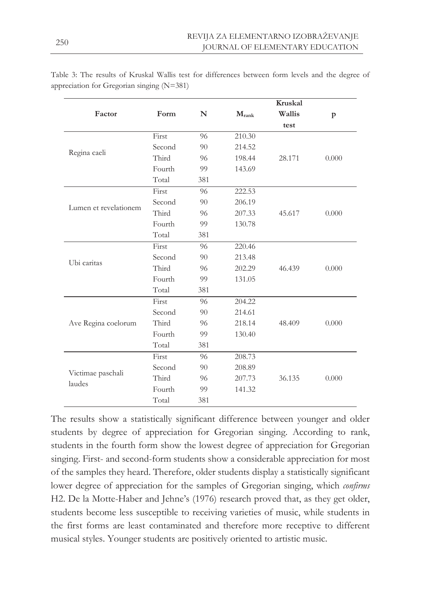|                             |        |             |                | Kruskal |       |
|-----------------------------|--------|-------------|----------------|---------|-------|
| Factor                      | Form   | $\mathbb N$ | $M_{\rm rank}$ | Wallis  | p     |
|                             |        |             |                | test    |       |
|                             | First  | 96          | 210.30         |         |       |
|                             | Second | 90          | 214.52         |         |       |
| Regina caeli                | Third  | 96          | 198.44         | 28.171  | 0.000 |
|                             | Fourth | 99          | 143.69         |         |       |
|                             | Total  | 381         |                |         |       |
|                             | First  | 96          | 222.53         |         |       |
|                             | Second | 90          | 206.19         |         |       |
| Lumen et revelationem       | Third  | 96          | 207.33         | 45.617  | 0.000 |
|                             | Fourth | 99          | 130.78         |         |       |
|                             | Total  | 381         |                |         |       |
|                             | First  | 96          | 220.46         |         |       |
| Ubi caritas                 | Second | 90          | 213.48         |         |       |
|                             | Third  | 96          | 202.29         | 46.439  | 0.000 |
|                             | Fourth | 99          | 131.05         |         |       |
|                             | Total  | 381         |                |         |       |
|                             | First  | 96          | 204.22         |         |       |
|                             | Second | 90          | 214.61         |         |       |
| Ave Regina coelorum         | Third  | 96          | 218.14         | 48.409  | 0.000 |
|                             | Fourth | 99          | 130.40         |         |       |
|                             | Total  | 381         |                |         |       |
|                             | First  | 96          | 208.73         |         |       |
|                             | Second | 90          | 208.89         |         |       |
| Victimae paschali<br>laudes | Third  | 96          | 207.73         | 36.135  | 0.000 |
|                             | Fourth | 99          | 141.32         |         |       |
|                             | Total  | 381         |                |         |       |

Table 3: The results of Kruskal Wallis test for differences between form levels and the degree of appreciation for Gregorian singing (N=381)

The results show a statistically significant difference between younger and older students by degree of appreciation for Gregorian singing. According to rank, students in the fourth form show the lowest degree of appreciation for Gregorian singing. First- and second-form students show a considerable appreciation for most of the samples they heard. Therefore, older students display a statistically significant lower degree of appreciation for the samples of Gregorian singing, which *confirms*  H2. De la Motte-Haber and Jehne's (1976) research proved that, as they get older, students become less susceptible to receiving varieties of music, while students in the first forms are least contaminated and therefore more receptive to different musical styles. Younger students are positively oriented to artistic music.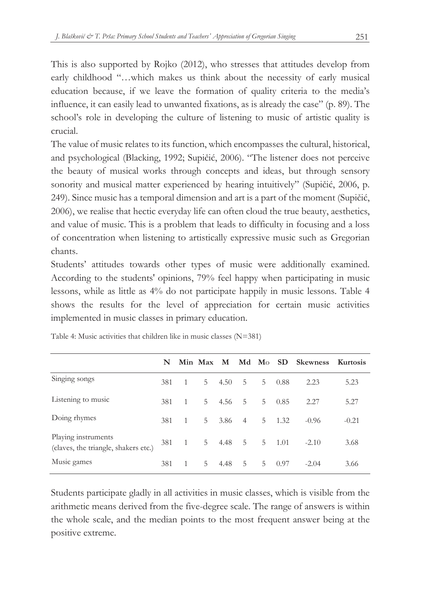This is also supported by Rojko (2012), who stresses that attitudes develop from early childhood "…which makes us think about the necessity of early musical education because, if we leave the formation of quality criteria to the media's influence, it can easily lead to unwanted fixations, as is already the case" (p. 89). The school's role in developing the culture of listening to music of artistic quality is crucial.

The value of music relates to its function, which encompasses the cultural, historical, and psychological (Blacking, 1992; Supičić, 2006). "The listener does not perceive the beauty of musical works through concepts and ideas, but through sensory sonority and musical matter experienced by hearing intuitively" (Supičić, 2006, p. 249). Since music has a temporal dimension and art is a part of the moment (Supičić, 2006), we realise that hectic everyday life can often cloud the true beauty, aesthetics, and value of music. This is a problem that leads to difficulty in focusing and a loss of concentration when listening to artistically expressive music such as Gregorian chants.

Students' attitudes towards other types of music were additionally examined. According to the students' opinions, 79% feel happy when participating in music lessons, while as little as 4% do not participate happily in music lessons. Table 4 shows the results for the level of appreciation for certain music activities implemented in music classes in primary education.

|                                                             | N   |                |    |               |                |                |             | Min Max M Md Mo SD Skewness Kurtosis |         |
|-------------------------------------------------------------|-----|----------------|----|---------------|----------------|----------------|-------------|--------------------------------------|---------|
| Singing songs                                               | 381 | $\overline{1}$ | 5. | 4.50          | 5              | 5.             | 0.88        | 2.23                                 | 5.23    |
| Listening to music                                          | 381 | $\overline{1}$ | 5  | 4.56          | .5             | 5              | 0.85        | 2.27                                 | 5.27    |
| Doing rhymes                                                | 381 | $\overline{1}$ | 5  | 3.86          | $\overline{4}$ | 5 <sup>1</sup> | 1.32        | $-0.96$                              | $-0.21$ |
| Playing instruments<br>(claves, the triangle, shakers etc.) | 381 | $\overline{1}$ | 5  | $4.48\quad 5$ |                |                | $5 \t 1.01$ | $-2.10$                              | 3.68    |
| Music games                                                 | 381 | $\overline{1}$ | 5  | 4.48          | .5             | .5             | 0.97        | $-2.04$                              | 3.66    |

Table 4: Music activities that children like in music classes (N=381)

Students participate gladly in all activities in music classes, which is visible from the arithmetic means derived from the five-degree scale. The range of answers is within the whole scale, and the median points to the most frequent answer being at the positive extreme.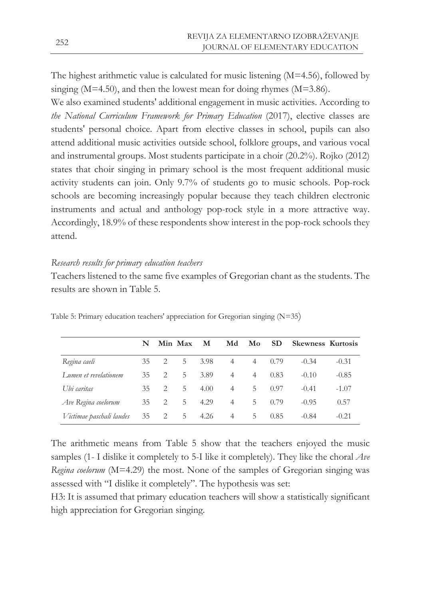The highest arithmetic value is calculated for music listening (M=4.56), followed by singing ( $M=4.50$ ), and then the lowest mean for doing rhymes ( $M=3.86$ ).

We also examined students' additional engagement in music activities. According to *the National Curriculum Framework for Primary Education* (2017), elective classes are students' personal choice. Apart from elective classes in school, pupils can also attend additional music activities outside school, folklore groups, and various vocal and instrumental groups. Most students participate in a choir (20.2%). Rojko (2012) states that choir singing in primary school is the most frequent additional music activity students can join. Only 9.7% of students go to music schools. Pop-rock schools are becoming increasingly popular because they teach children electronic instruments and actual and anthology pop-rock style in a more attractive way. Accordingly, 18.9% of these respondents show interest in the pop-rock schools they attend.

## *Research results for primary education teachers*

Teachers listened to the same five examples of Gregorian chant as the students. The results are shown in Table 5.

|                          | N  |                               | Min Max | M    | Md             | Mo             | <b>SD</b> | <b>Skewness Kurtosis</b> |         |
|--------------------------|----|-------------------------------|---------|------|----------------|----------------|-----------|--------------------------|---------|
| Regina caeli             | 35 | 2                             | 5       | 3.98 | $\overline{4}$ | $\overline{4}$ | 0.79      | $-0.34$                  | $-0.31$ |
| Lumen et revelationem    | 35 | 2                             | 5.      | 3.89 | $\overline{4}$ | 4              | 0.83      | $-0.10$                  | $-0.85$ |
| Ubi caritas              | 35 | $\mathfrak{D}_{\mathfrak{p}}$ | 5.      | 4.00 | 4              | 5              | 0.97      | $-0.41$                  | $-1.07$ |
| Ave Regina coelorum      | 35 | 2                             | 5       | 4.29 | $\overline{4}$ | 5              | 0.79      | $-0.95$                  | 0.57    |
| Victimae paschali laudes | 35 | 2                             | 5       | 4.26 | $\overline{4}$ | 5              | 0.85      | $-0.84$                  | $-0.21$ |

Table 5: Primary education teachers' appreciation for Gregorian singing (N=35)

The arithmetic means from Table 5 show that the teachers enjoyed the music samples (1- I dislike it completely to 5-I like it completely). They like the choral *Ave Regina coelorum* (M=4.29) the most. None of the samples of Gregorian singing was assessed with "I dislike it completely". The hypothesis was set:

H3: It is assumed that primary education teachers will show a statistically significant high appreciation for Gregorian singing.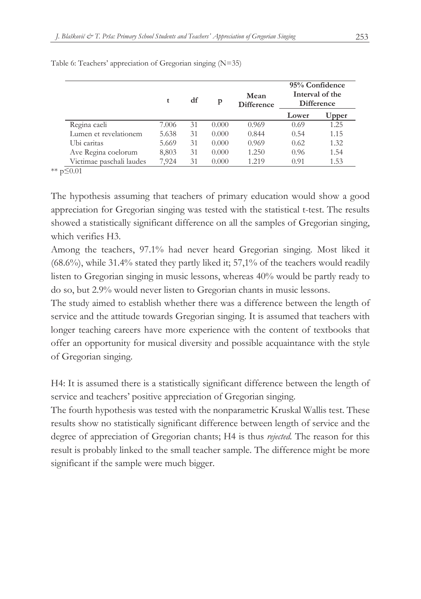|                          |       | df | p     | Mean<br><b>Difference</b> |       | 95% Confidence<br>Interval of the<br>Difference |  |  |
|--------------------------|-------|----|-------|---------------------------|-------|-------------------------------------------------|--|--|
|                          |       |    |       |                           | Lower | Upper                                           |  |  |
| Regina caeli             | 7.006 | 31 | 0.000 | 0.969                     | 0.69  | 1.25                                            |  |  |
| Lumen et revelationem    | 5.638 | 31 | 0.000 | 0.844                     | 0.54  | 1.15                                            |  |  |
| Ubi caritas              | 5.669 | 31 | 0.000 | 0.969                     | 0.62  | 1.32                                            |  |  |
| Ave Regina coelorum      | 8,803 | 31 | 0.000 | 1.250                     | 0.96  | 1.54                                            |  |  |
| Victimae paschali laudes | 7.924 | 31 | 0.000 | 1.219                     | 0.91  | 1.53                                            |  |  |

Table 6: Teachers' appreciation of Gregorian singing (N=35)

\*\* p≤0.01

The hypothesis assuming that teachers of primary education would show a good appreciation for Gregorian singing was tested with the statistical t-test. The results showed a statistically significant difference on all the samples of Gregorian singing, which verifies H3.

Among the teachers, 97.1% had never heard Gregorian singing. Most liked it  $(68.6\%)$ , while 31.4% stated they partly liked it; 57,1% of the teachers would readily listen to Gregorian singing in music lessons, whereas 40% would be partly ready to do so, but 2.9% would never listen to Gregorian chants in music lessons.

The study aimed to establish whether there was a difference between the length of service and the attitude towards Gregorian singing. It is assumed that teachers with longer teaching careers have more experience with the content of textbooks that offer an opportunity for musical diversity and possible acquaintance with the style of Gregorian singing.

H4: It is assumed there is a statistically significant difference between the length of service and teachers' positive appreciation of Gregorian singing.

The fourth hypothesis was tested with the nonparametric Kruskal Wallis test. These results show no statistically significant difference between length of service and the degree of appreciation of Gregorian chants; H4 is thus *rejected.* The reason for this result is probably linked to the small teacher sample. The difference might be more significant if the sample were much bigger.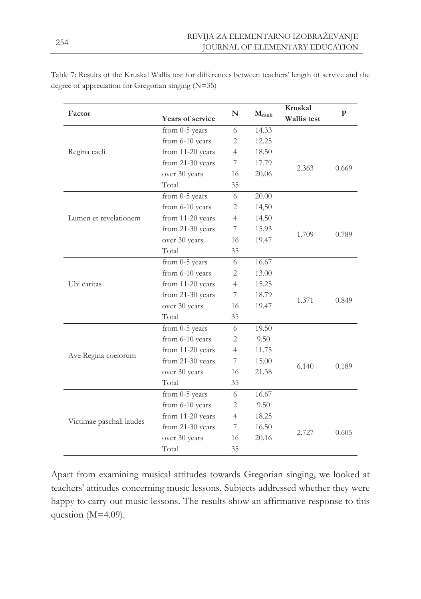| Factor                                          | Years of service | N              | $M_{\rm rank}$ | <b>Kruskal</b><br>Wallis test | $\mathbf{P}$ |
|-------------------------------------------------|------------------|----------------|----------------|-------------------------------|--------------|
|                                                 | from 0-5 years   | 6              | 14.33          |                               |              |
|                                                 | from 6-10 years  | $\overline{2}$ | 12.25          |                               |              |
| Regina caeli                                    | from 11-20 years | $\overline{4}$ | 18.50          |                               |              |
|                                                 | from 21-30 years | 7              | 17.79          |                               |              |
|                                                 | over 30 years    | 16             | 20.06          | 2.363                         | 0.669        |
|                                                 | Total            | 35             |                |                               |              |
|                                                 | from 0-5 years   | 6              | 20.00          |                               |              |
|                                                 | from 6-10 years  | $\overline{2}$ | 14,50          |                               |              |
| Lumen et revelationem                           | from 11-20 years | $\overline{4}$ | 14.50          |                               |              |
|                                                 | from 21-30 years | 7              | 15.93          |                               | 0.789        |
|                                                 | over 30 years    | 16             | 19.47          | 1.709                         |              |
|                                                 | Total            | 35             |                |                               |              |
|                                                 | from 0-5 years   | 6              | 16.67          |                               |              |
|                                                 | from 6-10 years  | $\overline{2}$ | 13.00          |                               |              |
| Ubi caritas                                     | from 11-20 years | $\overline{4}$ | 15.25          |                               |              |
|                                                 | from 21-30 years | 7              | 18.79          | 1.371                         |              |
|                                                 | over 30 years    | 16             | 19.47          |                               | 0.849        |
|                                                 | Total            | 35             |                |                               |              |
|                                                 | from 0-5 years   | 6              | 19.50          |                               |              |
|                                                 | from 6-10 years  | 2              | 9.50           |                               |              |
|                                                 | from 11-20 years | $\overline{4}$ | 11.75          |                               |              |
|                                                 | from 21-30 years | 7              | 15.00          | 6.140                         | 0.189        |
|                                                 | over 30 years    | 16             | 21.38          |                               |              |
|                                                 | Total            | 35             |                |                               |              |
|                                                 | from 0-5 years   | 6              | 16.67          |                               |              |
|                                                 | from 6-10 years  | $\overline{2}$ | 9.50           |                               |              |
|                                                 | from 11-20 years | $\overline{4}$ | 18.25          |                               |              |
| Ave Regina coelorum<br>Victimae paschali laudes | from 21-30 years | 7              | 16.50          | 2.727                         | 0.605        |
|                                                 | over 30 years    | 16             | 20.16          |                               |              |
|                                                 | Total            | 35             |                |                               |              |

Table 7: Results of the Kruskal Wallis test for differences between teachers' length of service and the degree of appreciation for Gregorian singing (N=35)

Apart from examining musical attitudes towards Gregorian singing, we looked at teachers' attitudes concerning music lessons. Subjects addressed whether they were happy to carry out music lessons. The results show an affirmative response to this question (M=4.09).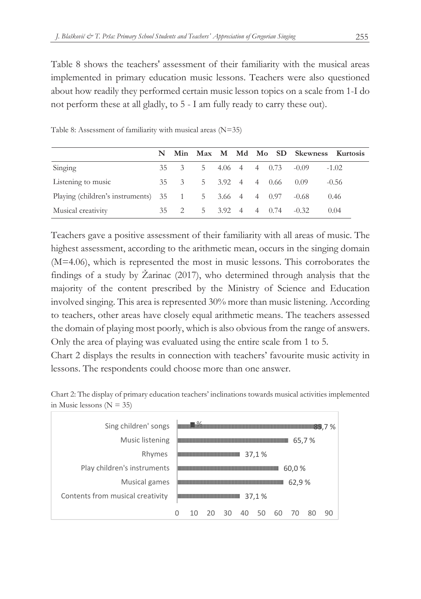Table 8 shows the teachers' assessment of their familiarity with the musical areas implemented in primary education music lessons. Teachers were also questioned about how readily they performed certain music lesson topics on a scale from 1-I do not perform these at all gladly, to 5 - I am fully ready to carry these out).

|                                       |              |   |  |                                       | N Min Max M Md Mo SD Skewness Kurtosis |         |
|---------------------------------------|--------------|---|--|---------------------------------------|----------------------------------------|---------|
| Singing                               | $35 \quad 3$ |   |  | 5 4.06 4 4 0.73                       | $-0.09$                                | $-1.02$ |
| Listening to music                    | 35 3         |   |  | 5 3.92 4 4 0.66                       | 0.09                                   | $-0.56$ |
| Playing (children's instruments) 35 1 |              | 5 |  | 3.66 4 4 0.97                         | $-0.68$                                | 0.46    |
| Musical creativity                    | 35 2         |   |  | $5\quad 3.92\quad 4\quad 4\quad 0.74$ | $-0.32$                                | 0.04    |

Table 8: Assessment of familiarity with musical areas (N=35)

Teachers gave a positive assessment of their familiarity with all areas of music. The highest assessment, according to the arithmetic mean, occurs in the singing domain (M=4.06), which is represented the most in music lessons. This corroborates the findings of a study by Žarinac (2017), who determined through analysis that the majority of the content prescribed by the Ministry of Science and Education involved singing. This area is represented 30% more than music listening. According to teachers, other areas have closely equal arithmetic means. The teachers assessed the domain of playing most poorly, which is also obvious from the range of answers. Only the area of playing was evaluated using the entire scale from 1 to 5.

Chart 2 displays the results in connection with teachers' favourite music activity in lessons. The respondents could choose more than one answer.



| Sing children' songs             |       |  |    |    |  |  |       |       | 7 % |
|----------------------------------|-------|--|----|----|--|--|-------|-------|-----|
| Music listening                  |       |  |    |    |  |  |       | 65,7% |     |
| Rhymes                           | 37,1% |  |    |    |  |  |       |       |     |
| Play children's instruments      | 60,0% |  |    |    |  |  |       |       |     |
| Musical games                    |       |  |    |    |  |  | 62,9% |       |     |
| Contents from musical creativity | 37,1% |  |    |    |  |  |       |       |     |
|                                  |       |  | 30 | 40 |  |  |       | 80    | 90  |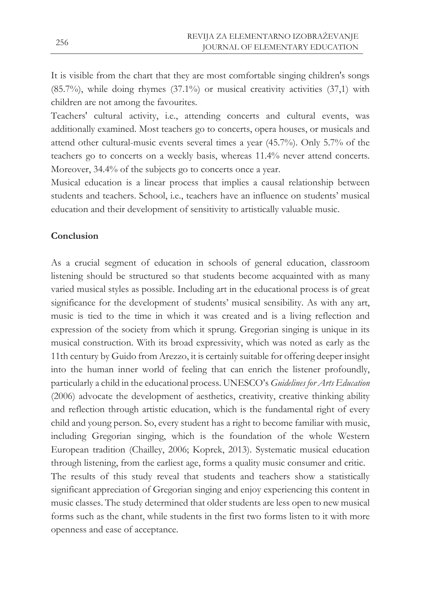It is visible from the chart that they are most comfortable singing children's songs (85.7%), while doing rhymes (37.1%) or musical creativity activities (37,1) with children are not among the favourites.

Teachers' cultural activity, i.e., attending concerts and cultural events, was additionally examined. Most teachers go to concerts, opera houses, or musicals and attend other cultural-music events several times a year (45.7%). Only 5.7% of the teachers go to concerts on a weekly basis, whereas 11.4% never attend concerts. Moreover, 34.4% of the subjects go to concerts once a year.

Musical education is a linear process that implies a causal relationship between students and teachers. School, i.e., teachers have an influence on students' musical education and their development of sensitivity to artistically valuable music.

## **Conclusion**

As a crucial segment of education in schools of general education, classroom listening should be structured so that students become acquainted with as many varied musical styles as possible. Including art in the educational process is of great significance for the development of students' musical sensibility. As with any art, music is tied to the time in which it was created and is a living reflection and expression of the society from which it sprung. Gregorian singing is unique in its musical construction. With its broad expressivity, which was noted as early as the 11th century by Guido from Arezzo, it is certainly suitable for offering deeper insight into the human inner world of feeling that can enrich the listener profoundly, particularly a child in the educational process. UNESCO's *Guidelines for Arts Education* (2006) advocate the development of aesthetics, creativity, creative thinking ability and reflection through artistic education, which is the fundamental right of every child and young person. So, every student has a right to become familiar with music, including Gregorian singing, which is the foundation of the whole Western European tradition (Chailley, 2006; Koprek, 2013). Systematic musical education through listening, from the earliest age, forms a quality music consumer and critic. The results of this study reveal that students and teachers show a statistically significant appreciation of Gregorian singing and enjoy experiencing this content in music classes. The study determined that older students are less open to new musical forms such as the chant, while students in the first two forms listen to it with more openness and ease of acceptance.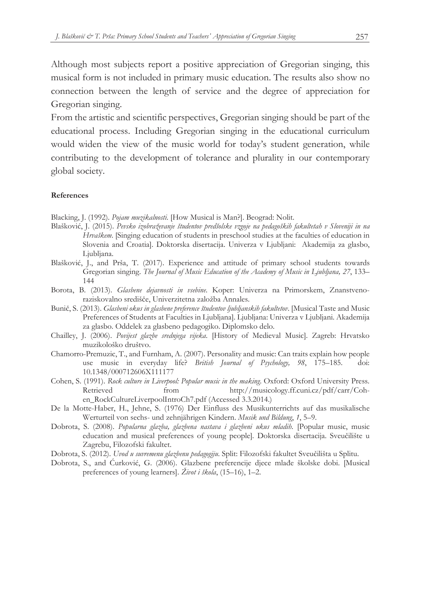Although most subjects report a positive appreciation of Gregorian singing, this musical form is not included in primary music education. The results also show no connection between the length of service and the degree of appreciation for Gregorian singing.

From the artistic and scientific perspectives, Gregorian singing should be part of the educational process. Including Gregorian singing in the educational curriculum would widen the view of the music world for today's student generation, while contributing to the development of tolerance and plurality in our contemporary global society.

#### **References**

Blacking, J. (1992). *Pojam muzikalnosti*. [How Musical is Man?]. Beograd: Nolit.

- Blašković, J. (2015). *Pevsko izobraževanje študentov predšolske vzgoje na pedagoških fakultetah v Sloveniji in na Hrvaškem*. [Singing education of students in preschool studies at the faculties of education in Slovenia and Croatia]. Doktorska disertacija. Univerza v Ljubljani: Akademija za glasbo, Ljubljana.
- Blašković, J., and Prša, T. (2017). Experience and attitude of primary school students towards Gregorian singing. *The Journal of Music Education of the Academy of Music in Ljubljana, 27*, 133– 144
- Borota, B. (2013). *Glasbene dejavnosti in vsebine*. Koper: Univerza na Primorskem, Znanstvenoraziskovalno središče, Univerzitetna založba Annales.
- Bunič, S. (2013). *Glasbeni okus in glasbene preference študentov ljubljanskih fakultetov*. [Musical Taste and Music Preferences of Students at Faculties in Ljubljana]. Ljubljana: Univerza v Ljubljani. Akademija za glasbo. Oddelek za glasbeno pedagogiko. Diplomsko delo.
- Chailley, J. (2006). *Povijest glazbe srednjega vijeka*. [History of Medieval Music]. Zagreb: Hrvatsko muzikološko društvo.
- Chamorro-Premuzic, T., and Furnham, A. (2007). Personality and music: Can traits explain how people use music in everyday life? *British Journal of Psychology, 98*, 175–185. doi: 10.1348/000712606X111177
- Cohen, S. (1991). *Rock culture in Liverpool: Popular music in the making*. Oxford: Oxford University Press. Retrieved from http://musicology.ff.cuni.cz/pdf/carr/Cohen\_RockCultureLiverpoolIntroCh7.pdf (Accessed 3.3.2014.)
- De la Motte-Haber, H., Jehne, S. (1976) Der Einfluss des Musikunterrichts auf das musikalische Werturteil von sechs- und zehnjährigen Kindern. *Musik und Bildung*, *1*, 5–9.
- Dobrota, S. (2008). *Popularna glazba, glazbena nastava i glazbeni ukus mladih*. [Popular music, music education and musical preferences of young people]*.* Doktorska disertacija. Sveučilište u Zagrebu, Filozofski fakultet.
- Dobrota, S. (2012). *Uvod u suvremenu glazbenu pedagogiju*. Split: Filozofski fakultet Sveučilišta u Splitu.
- Dobrota, S., and Ćurković, G. (2006). Glazbene preferencije djece mlađe školske dobi. [Musical preferences of young learners]. *Život i škola*, (15–16), 1–2.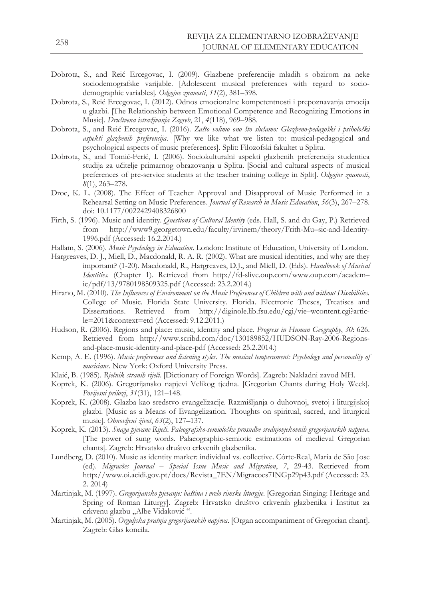- Dobrota, S., and Reić Ercegovac, I. (2009). Glazbene preferencije mladih s obzirom na neke sociodemografske varijable. [Adolescent musical preferences with regard to sociodemographic variables]*. Odgojne znanosti*, *11*(2), 381–398.
- Dobrota, S., Reić Ercegovac, I. (2012). Odnos emocionalne kompetentnosti i prepoznavanja emocija u glazbi. [The Relationship between Emotional Competence and Recognizing Emotions in Music]. *Društvena istraživanja Zagreb*, 21, *4*(118), 969–988.
- Dobrota, S., and Reić Ercegovac, I. (2016). *Zašto volimo ono što slušamo: Glazbeno-pedagoški i psihološki aspekti glazbenih preferencija*. [Why we like what we listen to: musical-pedagogical and psychological aspects of music preferences]. Split: Filozofski fakultet u Splitu.
- Dobrota, S., and Tomić-Ferić, I. (2006). Sociokulturalni aspekti glazbenih preferencija studentica studija za učitelje primarnog obrazovanja u Splitu. [Social and cultural aspects of musical preferences of pre-service students at the teacher training college in Split]. *Odgojne znanosti*, *8*(1), 263–278.
- Droe, K. L. (2008). The Effect of Teacher Approval and Disapproval of Music Performed in a Rehearsal Setting on Music Preferences. *Journal of Research in Music Education*, *56*(3), 267–278. doi: 10.1177/0022429408326800
- Firth, S. (1996). Music and identity. *Questions of Cultural Identity* (eds. Hall, S. and du Gay, P.) Retrieved from http://www9.georgetown.edu/faculty/irvinem/theory/Frith-Mu–sic-and-Identity-1996.pdf (Accessed: 16.2.2014.)
- Hallam, S. (2006). *Music Psychology in Education*. London: Institute of Education, University of London.
- Hargreaves, D. J., Miell, D., Macdonald, R. A. R. (2002). What are musical identities, and why are they important? (1-20). Macdonald, R., Hargreaves, D.J., and Miell, D. (Eds). *Handbook of Musical Identities.* (Chapter 1). Retrieved from http://fd-slive.oup.com/www.oup.com/academ– ic/pdf/13/9780198509325.pdf (Accessed: 23.2.2014.)
- Hirano, M. (2010). *The Influences of Environment on the Music Preferences of Children with and without Disabilities.* College of Music. Florida State University. Florida. Electronic Theses, Treatises and Dissertations. Retrieved from http://diginole.lib.fsu.edu/cgi/vie–wcontent.cgi?article=2011&context=etd (Accessed: 9.12.2011.)
- Hudson, R. (2006). Regions and place: music, identity and place. *Progress in Human Geography*, *30*: 626. Retrieved from http://www.scribd.com/doc/130189852/HUDSON-Ray-2006-Regionsand-place-music-identity-and-place-pdf (Accessed: 25.2.2014.)
- Kemp, A. E. (1996). *Music preferences and listening styles. The musical temperament: Psychology and personality of musicians.* New York: Oxford University Press.
- Klaić, B. (1985). *Rječnik stranih riječi*. [Dictionary of Foreign Words]. Zagreb: Nakladni zavod MH.
- Koprek, K. (2006). Gregorijansko napjevi Velikog tjedna. [Gregorian Chants during Holy Week]. *Povijesni prilozi*, *31*(31), 121–148.
- Koprek, K. (2008). Glazba kao sredstvo evangelizacije. Razmišljanja o duhovnoj, svetoj i liturgijskoj glazbi. [Music as a Means of Evangelization. Thoughts on spiritual, sacred, and liturgical music]. *Obnovljeni život*, *63*(2), 127–137.
- Koprek, K. (2013). *Snaga pjevane Riječi*. *Paleografsko-semiološke prosudbe srednjovjekovnih gregorijanskih napjeva.* [The power of sung words. Palaeographic-semiotic estimations of medieval Gregorian chants]. Zagreb: Hrvatsko društvo crkvenih glazbenika.
- Lundberg, D. (2010). Music as identity marker: individual vs. collective. Côrte-Real, Maria de São Jose (ed). *Migracões Journal – Special Issue Music and Migration*, *7*, 29-43. Retrieved from http://www.oi.acidi.gov.pt/docs/Revista\_7EN/Migracoes7INGp29p43.pdf (Accessed: 23. 2. 2014)
- Martinjak, M. (1997). *Gregorijansko pjevanje: baština i vrelo rimske liturgije*. [Gregorian Singing: Heritage and Spring of Roman Liturgy]. Zagreb: Hrvatsko društvo crkvenih glazbenika i Institut za crkvenu glazbu "Albe Vidaković".
- Martinjak, M. (2005). *Orguljska pratnja gregorijanskih napjeva*. [Organ accompaniment of Gregorian chant]. Zagreb: Glas koncila.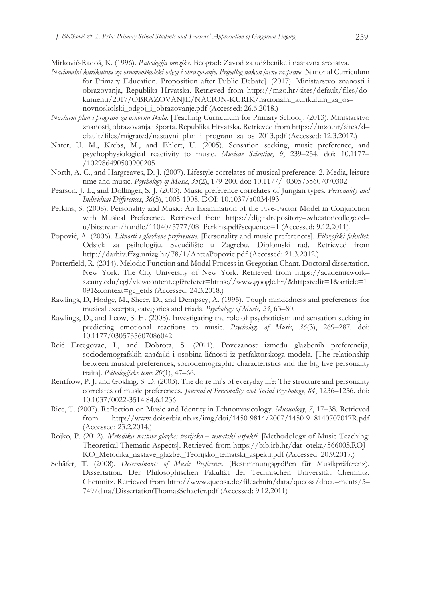Mirković-Radoš, K. (1996). *Psihologija muzike*. Beograd: Zavod za udžbenike i nastavna sredstva.

- *Nacionalni kurikulum za osnovnoškolski odgoj i obrazovanje*. *Prijedlog nakon javne rasprave* [National Curriculum for Primary Education. Proposition after Public Debate]. (2017). Ministarstvo znanosti i obrazovanja, Republika Hrvatska. Retrieved from https://mzo.hr/sites/default/files/dokumenti/2017/OBRAZOVANJE/NACION-KURIK/nacionalni\_kurikulum\_za\_os– novnoskolski\_odgoj\_i\_obrazovanje.pdf (Accessed: 26.6.2018.)
- *Nastavni plan i program za osnovnu školu.* [Teaching Curriculum for Primary School]. (2013). Ministarstvo znanosti, obrazovanja i športa. Republika Hrvatska. Retrieved from https://mzo.hr/sites/d– efault/files/migrated/nastavni\_plan\_i\_program\_za\_os\_2013.pdf (Accessed: 12.3.2017.)
- Nater, U. M., Krebs, M., and Ehlert, U. (2005). Sensation seeking, music preference, and psychophysiological reactivity to music. *Musicae Scientiae*, *9*, 239–254. doi: 10.1177– /102986490500900205
- North, A. C., and Hargreaves, D. J. (2007). Lifestyle correlates of musical preference: 2. Media, leisure time and music. *Psychology of Music*, *35*(2), 179-200. doi: 10.1177/–0305735607070302
- Pearson, J. L., and Dollinger, S. J. (2003). Music preference correlates of Jungian types. *Personality and Individual Differences*, *36*(5), 1005-1008. DOI: 10.1037/a0034493
- Perkins, S. (2008). Personality and Music: An Examination of the Five-Factor Model in Conjunction with Musical Preference. Retrieved from https://digitalrepository–.wheatoncollege.ed– u/bitstream/handle/11040/5777/08\_Perkins.pdf?sequence=1 (Accessed: 9.12.2011).
- Popović, A. (2006). *Ličnosti i glazbene preferencije.* [Personality and music preferences]. *Filozofski fakultet.*  Odsjek za psihologiju. Sveučilište u Zagrebu. Diplomski rad. Retrieved from http://darhiv.ffzg.unizg.hr/78/1/AnteaPopovic.pdf (Accessed: 21.3.2012.)
- Porterfield, R. (2014). Melodic Function and Modal Process in Gregorian Chant. Doctoral dissertation. New York. The City University of New York. Retrieved from https://academicwork– s.cuny.edu/cgi/viewcontent.cgi?referer=https://www.google.hr/&httpsredir=1&article=1 091&context=gc\_etds (Accessed: 24.3.2018.)
- Rawlings, D, Hodge, M., Sheer, D., and Dempsey, A. (1995). Tough mindedness and preferences for musical excerpts, categories and triads. *Psychology of Music, 23*, 63–80.
- Rawlings, D., and Leow, S. H. (2008). Investigating the role of psychoticism and sensation seeking in predicting emotional reactions to music. *Psychology of Music*, *36*(3), 269–287. doi: 10.1177/0305735607086042
- Reić Ercegovac, I., and Dobrota, S. (2011). Povezanost između glazbenih preferencija, sociodemografskih značajki i osobina ličnosti iz petfaktorskoga modela. [The relationship between musical preferences, sociodemographic characteristics and the big five personality traits]. *Psihologijske teme 20*(1), 47–66.
- Rentfrow, P. J. and Gosling, S. D. (2003). The do re mi's of everyday life: The structure and personality correlates of music preferences. *Journal of Personality and Social Psychology*, *84*, 1236–1256. doi: 10.1037/0022-3514.84.6.1236
- Rice, T. (2007). Reflection on Music and Identity in Ethnomusicology. *Musicology*, *7*, 17–38. Retrieved from http://www.doiserbia.nb.rs/img/doi/1450-9814/2007/1450-9–8140707017R.pdf (Accessed: 23.2.2014.)
- Rojko, P. (2012). *Metodika nastave glazbe: teorijsko – tematski aspekti.* [Methodology of Music Teaching: Theoretical Thematic Aspects]. Retrieved from https://bib.irb.hr/dat–oteka/566005.ROJ– KO\_Metodika\_nastave\_glazbe.\_Teorijsko\_tematski\_aspekti.pdf (Accessed: 20.9.2017.)
- Schäfer, T. (2008). *Determinants of Music Preference.* (Bestimmungsgrößen für Musikpräferenz). Dissertation. Der Philosophischen Fakultät der Technischen Universität Chemnitz, Chemnitz. Retrieved from http://www.qucosa.de/fileadmin/data/qucosa/docu–ments/5– 749/data/DissertationThomasSchaefer.pdf (Accessed: 9.12.2011)